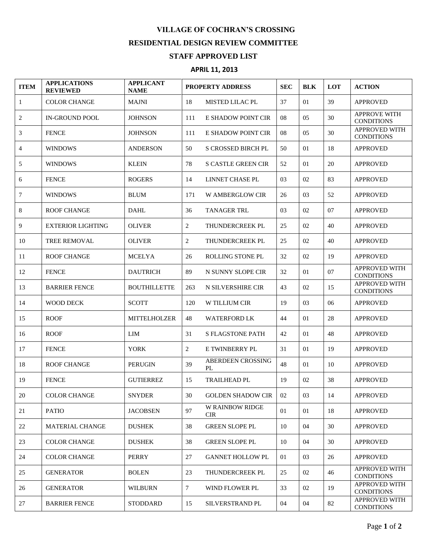## **VILLAGE OF COCHRAN'S CROSSING RESIDENTIAL DESIGN REVIEW COMMITTEE STAFF APPROVED LIST**

## **APRIL 11, 2013**

| <b>ITEM</b> | <b>APPLICATIONS</b><br><b>REVIEWED</b> | <b>APPLICANT</b><br><b>NAME</b> | <b>PROPERTY ADDRESS</b> |                                      | <b>SEC</b> | <b>BLK</b> | LOT | <b>ACTION</b>                             |
|-------------|----------------------------------------|---------------------------------|-------------------------|--------------------------------------|------------|------------|-----|-------------------------------------------|
| 1           | <b>COLOR CHANGE</b>                    | <b>MAJNI</b>                    | 18                      | <b>MISTED LILAC PL</b>               | 37         | 01         | 39  | <b>APPROVED</b>                           |
| 2           | <b>IN-GROUND POOL</b>                  | <b>JOHNSON</b>                  | 111                     | E SHADOW POINT CIR                   | 08         | 05         | 30  | <b>APPROVE WITH</b><br><b>CONDITIONS</b>  |
| 3           | <b>FENCE</b>                           | <b>JOHNSON</b>                  | 111                     | E SHADOW POINT CIR                   | 08         | 05         | 30  | <b>APPROVED WITH</b><br><b>CONDITIONS</b> |
| 4           | <b>WINDOWS</b>                         | <b>ANDERSON</b>                 | 50                      | <b>S CROSSED BIRCH PL</b>            | 50         | 01         | 18  | <b>APPROVED</b>                           |
| 5           | <b>WINDOWS</b>                         | <b>KLEIN</b>                    | 78                      | <b>S CASTLE GREEN CIR</b>            | 52         | 01         | 20  | <b>APPROVED</b>                           |
| 6           | <b>FENCE</b>                           | <b>ROGERS</b>                   | 14                      | LINNET CHASE PL                      | 03         | 02         | 83  | <b>APPROVED</b>                           |
| 7           | <b>WINDOWS</b>                         | <b>BLUM</b>                     | 171                     | <b>W AMBERGLOW CIR</b>               | 26         | 03         | 52  | <b>APPROVED</b>                           |
| 8           | <b>ROOF CHANGE</b>                     | <b>DAHL</b>                     | 36                      | <b>TANAGER TRL</b>                   | 03         | 02         | 07  | <b>APPROVED</b>                           |
| 9           | <b>EXTERIOR LIGHTING</b>               | <b>OLIVER</b>                   | $\overline{c}$          | THUNDERCREEK PL                      | 25         | 02         | 40  | <b>APPROVED</b>                           |
| 10          | <b>TREE REMOVAL</b>                    | <b>OLIVER</b>                   | $\overline{c}$          | THUNDERCREEK PL                      | 25         | 02         | 40  | <b>APPROVED</b>                           |
| 11          | <b>ROOF CHANGE</b>                     | <b>MCELYA</b>                   | 26                      | <b>ROLLING STONE PL</b>              | 32         | 02         | 19  | <b>APPROVED</b>                           |
| 12          | <b>FENCE</b>                           | <b>DAUTRICH</b>                 | 89                      | N SUNNY SLOPE CIR                    | 32         | 01         | 07  | <b>APPROVED WITH</b><br><b>CONDITIONS</b> |
| 13          | <b>BARRIER FENCE</b>                   | <b>BOUTHILLETTE</b>             | 263                     | N SILVERSHIRE CIR                    | 43         | 02         | 15  | <b>APPROVED WITH</b><br><b>CONDITIONS</b> |
| 14          | <b>WOOD DECK</b>                       | <b>SCOTT</b>                    | 120                     | W TILLIUM CIR                        | 19         | 03         | 06  | <b>APPROVED</b>                           |
| 15          | <b>ROOF</b>                            | MITTELHOLZER                    | 48                      | <b>WATERFORD LK</b>                  | 44         | 01         | 28  | <b>APPROVED</b>                           |
| 16          | <b>ROOF</b>                            | LIM                             | 31                      | <b>S FLAGSTONE PATH</b>              | 42         | 01         | 48  | <b>APPROVED</b>                           |
| 17          | <b>FENCE</b>                           | <b>YORK</b>                     | 2                       | E TWINBERRY PL                       | 31         | 01         | 19  | <b>APPROVED</b>                           |
| 18          | <b>ROOF CHANGE</b>                     | <b>PERUGIN</b>                  | 39                      | <b>ABERDEEN CROSSING</b><br>PL       | 48         | 01         | 10  | <b>APPROVED</b>                           |
| 19          | <b>FENCE</b>                           | <b>GUTIERREZ</b>                | 15                      | <b>TRAILHEAD PL</b>                  | 19         | 02         | 38  | <b>APPROVED</b>                           |
| 20          | <b>COLOR CHANGE</b>                    | <b>SNYDER</b>                   | 30                      | <b>GOLDEN SHADOW CIR</b>             | 02         | 03         | 14  | <b>APPROVED</b>                           |
| 21          | <b>PATIO</b>                           | <b>JACOBSEN</b>                 | 97                      | <b>W RAINBOW RIDGE</b><br><b>CIR</b> | 01         | 01         | 18  | <b>APPROVED</b>                           |
| 22          | <b>MATERIAL CHANGE</b>                 | <b>DUSHEK</b>                   | 38                      | <b>GREEN SLOPE PL</b>                | 10         | 04         | 30  | <b>APPROVED</b>                           |
| 23          | <b>COLOR CHANGE</b>                    | <b>DUSHEK</b>                   | 38                      | <b>GREEN SLOPE PL</b>                | 10         | 04         | 30  | <b>APPROVED</b>                           |
| 24          | <b>COLOR CHANGE</b>                    | <b>PERRY</b>                    | 27                      | <b>GANNET HOLLOW PL</b>              | 01         | 03         | 26  | <b>APPROVED</b>                           |
| 25          | <b>GENERATOR</b>                       | <b>BOLEN</b>                    | 23                      | THUNDERCREEK PL                      | 25         | 02         | 46  | <b>APPROVED WITH</b><br><b>CONDITIONS</b> |
| 26          | <b>GENERATOR</b>                       | <b>WILBURN</b>                  | $\tau$                  | WIND FLOWER PL                       | 33         | 02         | 19  | <b>APPROVED WITH</b><br><b>CONDITIONS</b> |
| 27          | <b>BARRIER FENCE</b>                   | <b>STODDARD</b>                 | 15                      | SILVERSTRAND PL                      | 04         | 04         | 82  | APPROVED WITH<br><b>CONDITIONS</b>        |